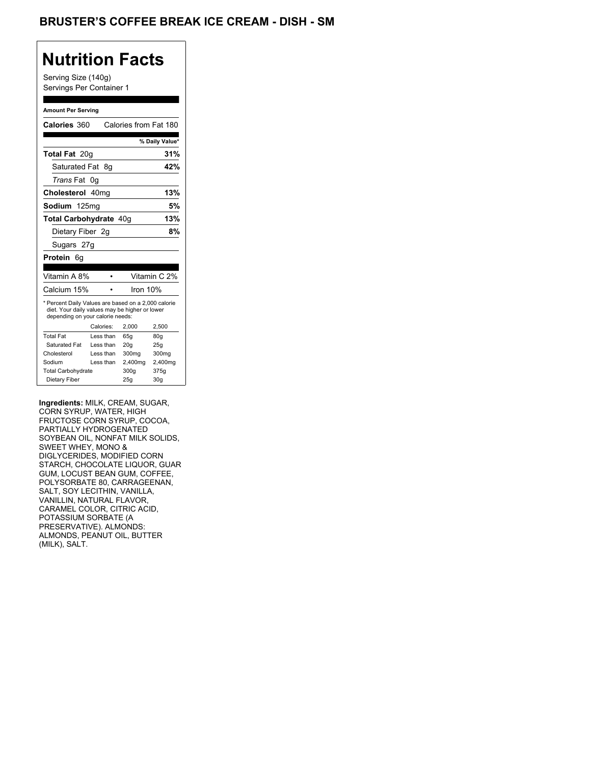## **Nutrition Facts**

Serving Size (140g) Servings Per Container 1

#### **Amount Per Serving**

| Calories 360                                                                                                                                                                                                                                                                                                                                                                            |                        |              | Calories from Fat 180 |
|-----------------------------------------------------------------------------------------------------------------------------------------------------------------------------------------------------------------------------------------------------------------------------------------------------------------------------------------------------------------------------------------|------------------------|--------------|-----------------------|
|                                                                                                                                                                                                                                                                                                                                                                                         |                        |              | % Daily Value*        |
| Total Fat 20g                                                                                                                                                                                                                                                                                                                                                                           |                        |              | 31%                   |
| Saturated Fat 8g                                                                                                                                                                                                                                                                                                                                                                        |                        |              | 42%                   |
| Trans Fat 0g                                                                                                                                                                                                                                                                                                                                                                            |                        |              |                       |
| Cholesterol 40mg                                                                                                                                                                                                                                                                                                                                                                        |                        |              | 13%                   |
| Sodium 125mg                                                                                                                                                                                                                                                                                                                                                                            |                        |              | $5\%$                 |
| Total Carbohydrate 40g                                                                                                                                                                                                                                                                                                                                                                  |                        |              | 13%                   |
| Dietary Fiber 2g                                                                                                                                                                                                                                                                                                                                                                        |                        |              | 8%                    |
|                                                                                                                                                                                                                                                                                                                                                                                         |                        |              |                       |
| Sugars 27g                                                                                                                                                                                                                                                                                                                                                                              |                        |              |                       |
| Protein 6g                                                                                                                                                                                                                                                                                                                                                                              |                        |              |                       |
| Vitamin A 8%                                                                                                                                                                                                                                                                                                                                                                            | $\bullet$              |              | Vitamin C 2%          |
| Calcium 15%                                                                                                                                                                                                                                                                                                                                                                             | $\bullet$              | Iron 10%     |                       |
| * Percent Daily Values are based on a 2,000 calorie<br>diet. Your daily values may be higher or lower<br>depending on your calorie needs:<br><b>Total Fat</b>                                                                                                                                                                                                                           | Calories:<br>Less than | 2,000<br>65g | 2,500<br>80g          |
| Saturated Fat<br>Cholesterol                                                                                                                                                                                                                                                                                                                                                            | Less than<br>Less than | 20g<br>300mg | 25g<br>300mg          |
| Sodium                                                                                                                                                                                                                                                                                                                                                                                  | Less than              | 2,400mg      | 2,400mg               |
| Total Carbohydrate<br>Dietary Fiber                                                                                                                                                                                                                                                                                                                                                     |                        | 300g<br>25g  | 375g<br>30g           |
| SOYBEAN OIL, NONFAT MILK SOLIDS,<br>SWEET WHEY, MONO &<br>DIGLYCERIDES, MODIFIED CORN<br>STARCH, CHOCOLATE LIQUOR, GUAR<br>GUM, LOCUST BEAN GUM, COFFEE,<br>POLYSORBATE 80, CARRAGEENAN,<br>SALT, SOY LECITHIN, VANILLA,<br>VANILLIN, NATURAL FLAVOR,<br>CARAMEL COLOR, CITRIC ACID,<br>POTASSIUM SORBATE (A<br>PRESERVATIVE). ALMONDS:<br>ALMONDS, PEANUT OIL, BUTTER<br>(MILK), SALT. |                        |              |                       |
|                                                                                                                                                                                                                                                                                                                                                                                         |                        |              |                       |
|                                                                                                                                                                                                                                                                                                                                                                                         |                        |              |                       |
|                                                                                                                                                                                                                                                                                                                                                                                         |                        |              |                       |
|                                                                                                                                                                                                                                                                                                                                                                                         |                        |              |                       |
|                                                                                                                                                                                                                                                                                                                                                                                         |                        |              |                       |
|                                                                                                                                                                                                                                                                                                                                                                                         |                        |              |                       |
|                                                                                                                                                                                                                                                                                                                                                                                         |                        |              |                       |
|                                                                                                                                                                                                                                                                                                                                                                                         |                        |              |                       |
|                                                                                                                                                                                                                                                                                                                                                                                         |                        |              |                       |
|                                                                                                                                                                                                                                                                                                                                                                                         |                        |              |                       |
|                                                                                                                                                                                                                                                                                                                                                                                         |                        |              |                       |
|                                                                                                                                                                                                                                                                                                                                                                                         |                        |              |                       |
|                                                                                                                                                                                                                                                                                                                                                                                         |                        |              |                       |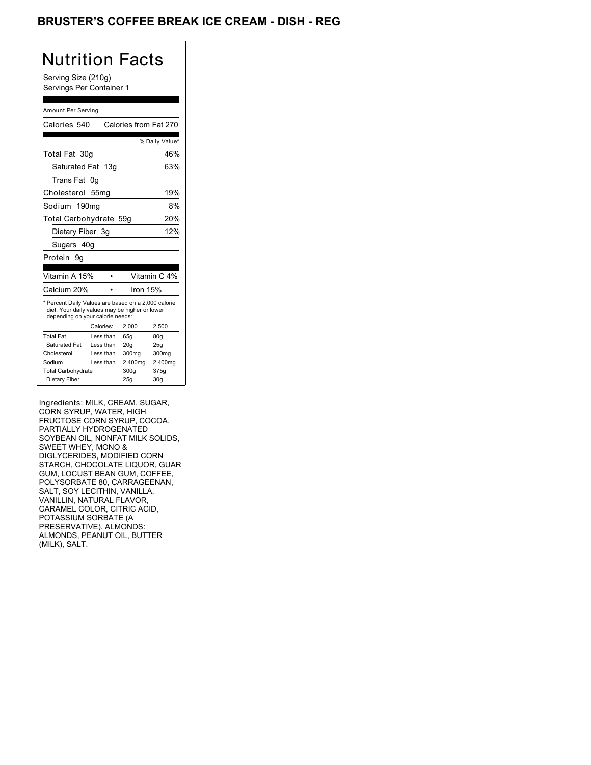## BRUSTER'S COFFEE BREAK ICE CREAM - DISH - REG

## Nutrition Facts

Serving Size (210g) Servings Per Container 1

#### Amount Per Serving

| Calories 540                                                                                                                                                                                                                                                                                                                                                                            |                        |                  | Calories from Fat 270 |
|-----------------------------------------------------------------------------------------------------------------------------------------------------------------------------------------------------------------------------------------------------------------------------------------------------------------------------------------------------------------------------------------|------------------------|------------------|-----------------------|
|                                                                                                                                                                                                                                                                                                                                                                                         |                        |                  | % Daily Value*        |
| Total Fat 30g                                                                                                                                                                                                                                                                                                                                                                           |                        |                  | 46%                   |
| Saturated Fat 13g                                                                                                                                                                                                                                                                                                                                                                       |                        |                  | 63%                   |
| Trans Fat 0g                                                                                                                                                                                                                                                                                                                                                                            |                        |                  |                       |
| Cholesterol 55mg                                                                                                                                                                                                                                                                                                                                                                        |                        |                  | 19%                   |
| Sodium 190mg                                                                                                                                                                                                                                                                                                                                                                            |                        |                  | 8%                    |
| Total Carbohydrate 59g                                                                                                                                                                                                                                                                                                                                                                  |                        |                  | 20%                   |
| Dietary Fiber 3g                                                                                                                                                                                                                                                                                                                                                                        |                        |                  | 12%                   |
| Sugars 40g                                                                                                                                                                                                                                                                                                                                                                              |                        |                  |                       |
| Protein 9g                                                                                                                                                                                                                                                                                                                                                                              |                        |                  |                       |
|                                                                                                                                                                                                                                                                                                                                                                                         |                        |                  |                       |
| Vitamin A 15%                                                                                                                                                                                                                                                                                                                                                                           | $\bullet$              |                  | Vitamin C 4%          |
| Calcium 20%                                                                                                                                                                                                                                                                                                                                                                             | $\bullet$              | Iron 15%         |                       |
| * Percent Daily Values are based on a 2,000 calorie<br>diet. Your daily values may be higher or lower<br>depending on your calorie needs:                                                                                                                                                                                                                                               |                        |                  |                       |
| <b>Total Fat</b>                                                                                                                                                                                                                                                                                                                                                                        | Calories:<br>Less than | 2,000<br>65g     | 2,500<br>80g          |
| Saturated Fat                                                                                                                                                                                                                                                                                                                                                                           | Less than              | 20g              | 25g                   |
| Cholesterol<br>Sodium                                                                                                                                                                                                                                                                                                                                                                   | Less than<br>Less than | 300mg<br>2,400mg | 300mg<br>2,400mg      |
| <b>Total Carbohydrate</b>                                                                                                                                                                                                                                                                                                                                                               |                        | 300g             | 375g                  |
| Dietary Fiber                                                                                                                                                                                                                                                                                                                                                                           |                        | 25g              | 30g                   |
| SOYBEAN OIL, NONFAT MILK SOLIDS,<br>SWEET WHEY, MONO &<br>DIGLYCERIDES, MODIFIED CORN<br>STARCH, CHOCOLATE LIQUOR, GUAR<br>GUM, LOCUST BEAN GUM, COFFEE,<br>POLYSORBATE 80, CARRAGEENAN,<br>SALT, SOY LECITHIN, VANILLA,<br>VANILLIN, NATURAL FLAVOR,<br>CARAMEL COLOR, CITRIC ACID,<br>POTASSIUM SORBATE (A<br>PRESERVATIVE). ALMONDS:<br>ALMONDS, PEANUT OIL, BUTTER<br>(MILK), SALT. |                        |                  |                       |
|                                                                                                                                                                                                                                                                                                                                                                                         |                        |                  |                       |
|                                                                                                                                                                                                                                                                                                                                                                                         |                        |                  |                       |
|                                                                                                                                                                                                                                                                                                                                                                                         |                        |                  |                       |
|                                                                                                                                                                                                                                                                                                                                                                                         |                        |                  |                       |
|                                                                                                                                                                                                                                                                                                                                                                                         |                        |                  |                       |
|                                                                                                                                                                                                                                                                                                                                                                                         |                        |                  |                       |
|                                                                                                                                                                                                                                                                                                                                                                                         |                        |                  |                       |
|                                                                                                                                                                                                                                                                                                                                                                                         |                        |                  |                       |
|                                                                                                                                                                                                                                                                                                                                                                                         |                        |                  |                       |
|                                                                                                                                                                                                                                                                                                                                                                                         |                        |                  |                       |
|                                                                                                                                                                                                                                                                                                                                                                                         |                        |                  |                       |
|                                                                                                                                                                                                                                                                                                                                                                                         |                        |                  |                       |
|                                                                                                                                                                                                                                                                                                                                                                                         |                        |                  |                       |
|                                                                                                                                                                                                                                                                                                                                                                                         |                        |                  |                       |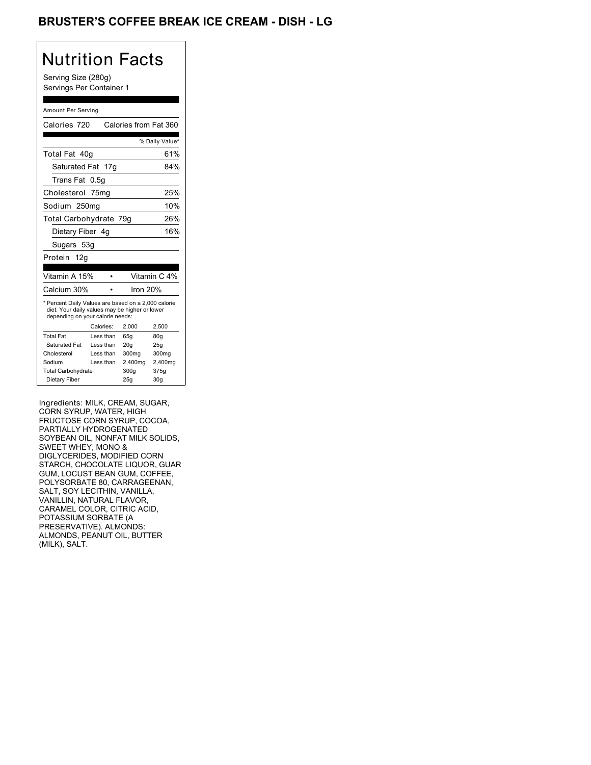## BRUSTER'S COFFEE BREAK ICE CREAM - DISH - LG

## Nutrition Facts

Serving Size (280g) Servings Per Container 1

#### Amount Per Serving

| Calories 720                                                                                                                                                                                                                                                                                                                                                                            |                        |                  | Calories from Fat 360 |
|-----------------------------------------------------------------------------------------------------------------------------------------------------------------------------------------------------------------------------------------------------------------------------------------------------------------------------------------------------------------------------------------|------------------------|------------------|-----------------------|
|                                                                                                                                                                                                                                                                                                                                                                                         |                        |                  | % Daily Value*        |
| Total Fat 40g                                                                                                                                                                                                                                                                                                                                                                           |                        |                  | 61%                   |
| Saturated Fat 17g                                                                                                                                                                                                                                                                                                                                                                       |                        |                  | 84%                   |
| Trans Fat 0.5g                                                                                                                                                                                                                                                                                                                                                                          |                        |                  |                       |
| Cholesterol 75mg                                                                                                                                                                                                                                                                                                                                                                        |                        |                  | 25%                   |
| Sodium 250mg                                                                                                                                                                                                                                                                                                                                                                            |                        |                  | 10%                   |
| Total Carbohydrate 79g                                                                                                                                                                                                                                                                                                                                                                  |                        |                  | 26%                   |
| Dietary Fiber 4g                                                                                                                                                                                                                                                                                                                                                                        |                        |                  | 16%                   |
| Sugars 53g                                                                                                                                                                                                                                                                                                                                                                              |                        |                  |                       |
| Protein 12g                                                                                                                                                                                                                                                                                                                                                                             |                        |                  |                       |
|                                                                                                                                                                                                                                                                                                                                                                                         |                        |                  |                       |
| Vitamin A 15%                                                                                                                                                                                                                                                                                                                                                                           | $\bullet$              |                  | Vitamin C 4%          |
| Calcium 30%                                                                                                                                                                                                                                                                                                                                                                             | $\bullet$              | Iron 20%         |                       |
| * Percent Daily Values are based on a 2,000 calorie<br>diet. Your daily values may be higher or lower<br>depending on your calorie needs:                                                                                                                                                                                                                                               |                        |                  |                       |
| <b>Total Fat</b>                                                                                                                                                                                                                                                                                                                                                                        | Calories:<br>Less than | 2,000<br>65g     | 2,500<br>80g          |
| Saturated Fat                                                                                                                                                                                                                                                                                                                                                                           | Less than              | 20g              | 25g                   |
| Cholesterol<br>Sodium                                                                                                                                                                                                                                                                                                                                                                   | Less than<br>Less than | 300mg<br>2,400mg | 300mg<br>2,400mg      |
| <b>Total Carbohydrate</b>                                                                                                                                                                                                                                                                                                                                                               |                        | 300g             | 375g                  |
| Dietary Fiber                                                                                                                                                                                                                                                                                                                                                                           |                        | 25g              | 30g                   |
| SOYBEAN OIL, NONFAT MILK SOLIDS,<br>SWEET WHEY, MONO &<br>DIGLYCERIDES, MODIFIED CORN<br>STARCH, CHOCOLATE LIQUOR, GUAR<br>GUM, LOCUST BEAN GUM, COFFEE,<br>POLYSORBATE 80, CARRAGEENAN,<br>SALT, SOY LECITHIN, VANILLA,<br>VANILLIN, NATURAL FLAVOR,<br>CARAMEL COLOR, CITRIC ACID,<br>POTASSIUM SORBATE (A<br>PRESERVATIVE). ALMONDS:<br>ALMONDS, PEANUT OIL, BUTTER<br>(MILK), SALT. |                        |                  |                       |
|                                                                                                                                                                                                                                                                                                                                                                                         |                        |                  |                       |
|                                                                                                                                                                                                                                                                                                                                                                                         |                        |                  |                       |
|                                                                                                                                                                                                                                                                                                                                                                                         |                        |                  |                       |
|                                                                                                                                                                                                                                                                                                                                                                                         |                        |                  |                       |
|                                                                                                                                                                                                                                                                                                                                                                                         |                        |                  |                       |
|                                                                                                                                                                                                                                                                                                                                                                                         |                        |                  |                       |
|                                                                                                                                                                                                                                                                                                                                                                                         |                        |                  |                       |
|                                                                                                                                                                                                                                                                                                                                                                                         |                        |                  |                       |
|                                                                                                                                                                                                                                                                                                                                                                                         |                        |                  |                       |
|                                                                                                                                                                                                                                                                                                                                                                                         |                        |                  |                       |
|                                                                                                                                                                                                                                                                                                                                                                                         |                        |                  |                       |
|                                                                                                                                                                                                                                                                                                                                                                                         |                        |                  |                       |
|                                                                                                                                                                                                                                                                                                                                                                                         |                        |                  |                       |
|                                                                                                                                                                                                                                                                                                                                                                                         |                        |                  |                       |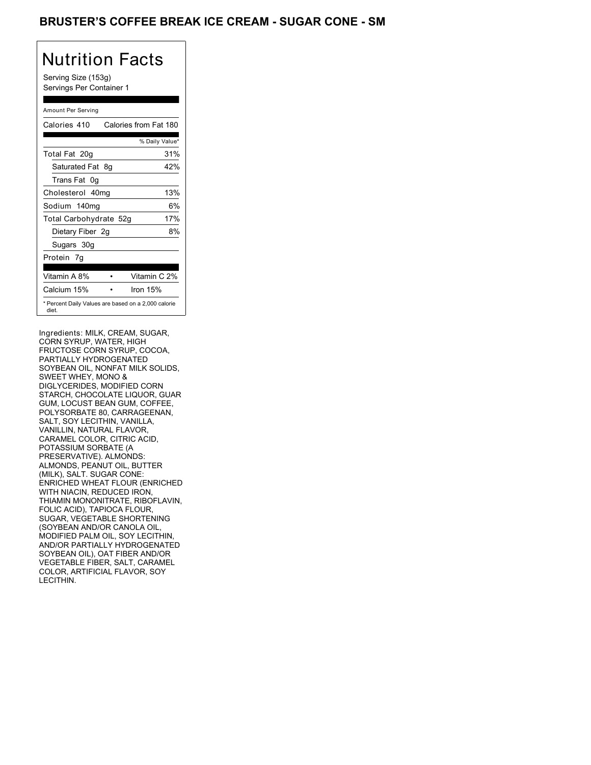## BRUSTER'S COFFEE BREAK ICE CREAM - SUGAR CONE - SM

# Nutrition Facts

Serving Size (153g) Servings Per Container 1

#### Amount Per Serving

| Calories 410           | Calories from Fat 180                               |
|------------------------|-----------------------------------------------------|
|                        | % Daily Value*                                      |
| Total Fat 20g          | 31%                                                 |
| Saturated Fat 8q       | 42%                                                 |
| Trans Fat 0q           |                                                     |
| Cholesterol 40mg       | 13%                                                 |
| Sodium 140mg           | 6%                                                  |
| Total Carbohydrate 52g | 17%                                                 |
| Dietary Fiber 2g       | 8%                                                  |
| Sugars 30g             |                                                     |
| Protein 7q             |                                                     |
| Vitamin A 8%           | Vitamin C 2%                                        |
| Calcium 15%            | Iron $15%$                                          |
| diet.                  | * Percent Daily Values are based on a 2,000 calorie |

depending on your calorie needs:

Ingredients: MILK, CREAM, SUGAR, Saturated Fat Less than 20g 25g FRUCTOSE CORN SYRUP, COCOA,<br>———————————————————— Sodium Less than 2,400mg 2,400mg SOYBEAN OIL, NONFAT MILK SOLIDS, SWEET WHEY, MONO & GUM, LOCUST BEAN GUM, COFFEE, POLYSORBATE 80, CARRAGEENAN, SALT, SOY LECITHIN, VANILLA, VANILLIN, NATURAL FLAVOR, CARAMEL COLOR, CITRIC ACID, POTASSIUM SORBATE (A PRESERVATIVE). ALMONDS: ALMONDS, PEANUT OIL, BUTTER (MILK), SALT. SUGAR CONE: ENRICHED WHEAT FLOUR (ENRICHED WITH NIACIN, REDUCED IRON, THIAMIN MONONITRATE, RIBOFLAVIN, FOLIC ACID), TAPIOCA FLOUR, SUGAR, VEGETABLE SHORTENING (SOYBEAN AND/OR CANOLA OIL, MODIFIED PALM OIL, SOY LECITHIN, AND/OR PARTIALLY HYDROGENATED SOYBEAN OIL), OAT FIBER AND/OR VEGETABLE FIBER, SALT, CARAMEL COLOR, ARTIFICIAL FLAVOR, SOY LECITHIN. CORN SYRUP, WATER, HIGH PARTIALLY HYDROGENATED DIGLYCERIDES, MODIFIED CORN STARCH, CHOCOLATE LIQUOR, GUAR Celebrate 12<br>
Vertical Sunday, 1401 and 29, 410<br>
Sunday, 1401 and 29, 410<br>
Sunday, 140<br>
Sunday, 140<br>
Sunday, 140<br>
Sunday, 140<br>
Celebrate 140<br>
Celebrate 140<br>
Celebrate 140<br>
Celebrate 140<br>
Celebrate 140<br>
Celebrate 140<br>
Cele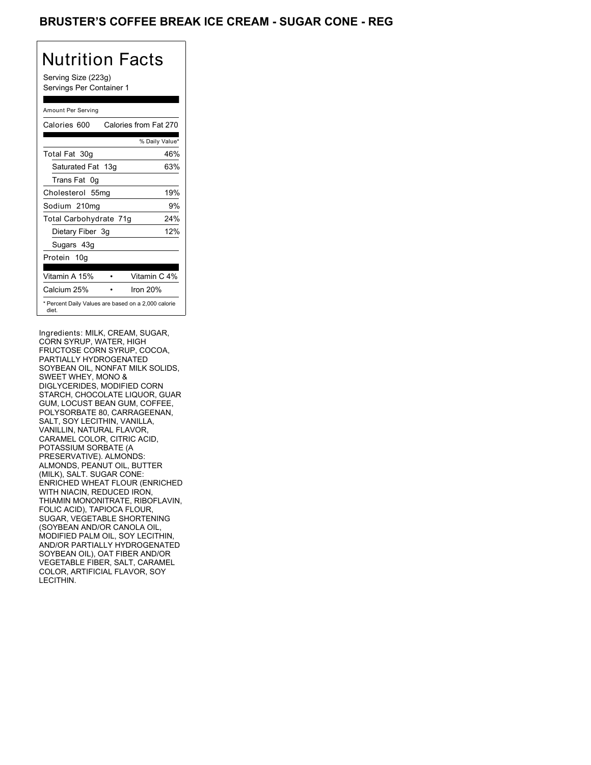## BRUSTER'S COFFEE BREAK ICE CREAM - SUGAR CONE - REG

# Nutrition Facts

Serving Size (223g) Servings Per Container 1

#### Amount Per Serving

| Calories 600           | Calories from Fat 270                               |
|------------------------|-----------------------------------------------------|
|                        | % Daily Value*                                      |
| Total Fat 30g          | 46%                                                 |
| Saturated Fat 13g      | 63%                                                 |
| Trans Fat 0q           |                                                     |
| Cholesterol 55mg       | 19%                                                 |
| Sodium 210mg           | 9%                                                  |
| Total Carbohydrate 71g | 24%                                                 |
| Dietary Fiber 3g       | 12%                                                 |
| Sugars 43g             |                                                     |
| Protein 10g            |                                                     |
| Vitamin A 15%          | Vitamin C 4%                                        |
| Calcium 25%            | Iron $20%$                                          |
| diet.                  | * Percent Daily Values are based on a 2,000 calorie |

depending on your calorie needs:

Ingredients: MILK, CREAM, SUGAR, Saturated Fat Less than 20g 25g FRUCTOSE CORN SYRUP, COCOA,<br>———————————————————— Sodium Less than 2,400mg 2,400mg SOYBEAN OIL, NONFAT MILK SOLIDS, SWEET WHEY, MONO & GUM, LOCUST BEAN GUM, COFFEE, POLYSORBATE 80, CARRAGEENAN, SALT, SOY LECITHIN, VANILLA, VANILLIN, NATURAL FLAVOR, CARAMEL COLOR, CITRIC ACID, POTASSIUM SORBATE (A PRESERVATIVE). ALMONDS: ALMONDS, PEANUT OIL, BUTTER (MILK), SALT. SUGAR CONE: ENRICHED WHEAT FLOUR (ENRICHED WITH NIACIN, REDUCED IRON, THIAMIN MONONITRATE, RIBOFLAVIN, FOLIC ACID), TAPIOCA FLOUR, SUGAR, VEGETABLE SHORTENING (SOYBEAN AND/OR CANOLA OIL, MODIFIED PALM OIL, SOY LECITHIN, AND/OR PARTIALLY HYDROGENATED SOYBEAN OIL), OAT FIBER AND/OR VEGETABLE FIBER, SALT, CARAMEL COLOR, ARTIFICIAL FLAVOR, SOY LECITHIN. CORN SYRUP, WATER, HIGH PARTIALLY HYDROGENATED DIGLYCERIDES, MODIFIED CORN STARCH, CHOCOLATE LIQUOR, GUAR Celebrate Sunday,  $\frac{1}{2}$  Celebrate Sunday,  $\frac{1}{2}$  Celebrate Sunday,  $\frac{1}{2}$  Celebrate Sunday,  $\frac{1}{2}$  Celebrate Sunday,  $\frac{1}{2}$  Celebrate Sunday,  $\frac{1}{2}$  Celebrate Sunday,  $\frac{1}{2}$  Celebrate Sunday,  $\frac{1}{2$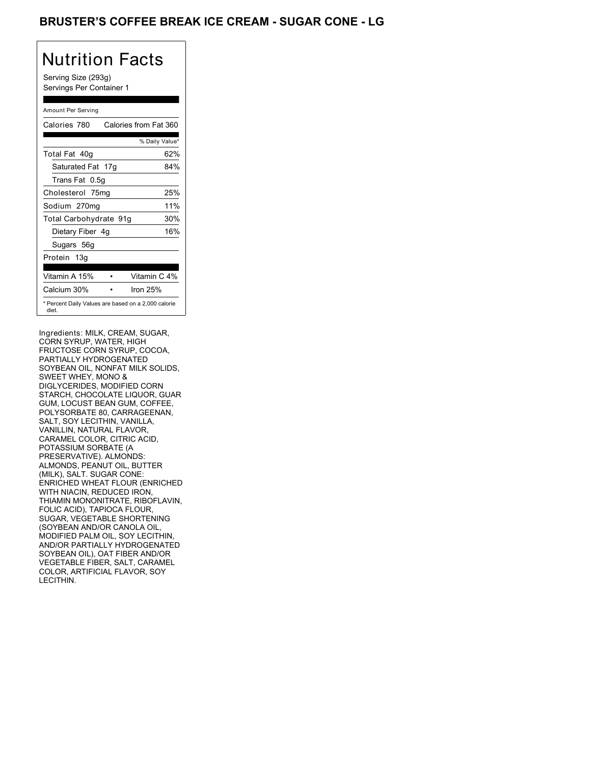## BRUSTER'S COFFEE BREAK ICE CREAM - SUGAR CONE - LG

# Nutrition Facts

Serving Size (293g) Servings Per Container 1

#### Amount Per Serving

| Calories 780                                                 | Calories from Fat 360 |
|--------------------------------------------------------------|-----------------------|
|                                                              | % Daily Value*        |
| Total Fat 40g                                                | 62%                   |
| Saturated Fat 17g                                            | 84%                   |
| Trans Fat 0.5q                                               |                       |
| Cholesterol 75mg                                             | 25%                   |
| Sodium 270mg                                                 | 11%                   |
| Total Carbohydrate 91g                                       | 30%                   |
| Dietary Fiber 4g                                             | 16%                   |
| Sugars 56g                                                   |                       |
| Protein 13g                                                  |                       |
| Vitamin A 15%                                                | Vitamin C 4%          |
| Calcium 30%                                                  | Iron $25%$            |
| * Percent Daily Values are based on a 2,000 calorie<br>diet. |                       |

Ingredients: MILK, CREAM, SUGAR, Saturated Fat Less than 20g 25g FRUCTOSE CORN SYRUP, COCOA,<br>———————————————————— Sodium Less than 2,400mg 2,400mg SOYBEAN OIL, NONFAT MILK SOLIDS, SWEET WHEY, MONO & GUM, LOCUST BEAN GUM, COFFEE, POLYSORBATE 80, CARRAGEENAN, SALT, SOY LECITHIN, VANILLA, VANILLIN, NATURAL FLAVOR, CARAMEL COLOR, CITRIC ACID, POTASSIUM SORBATE (A PRESERVATIVE). ALMONDS: ALMONDS, PEANUT OIL, BUTTER (MILK), SALT. SUGAR CONE: ENRICHED WHEAT FLOUR (ENRICHED WITH NIACIN, REDUCED IRON, THIAMIN MONONITRATE, RIBOFLAVIN, FOLIC ACID), TAPIOCA FLOUR, SUGAR, VEGETABLE SHORTENING (SOYBEAN AND/OR CANOLA OIL, MODIFIED PALM OIL, SOY LECITHIN, AND/OR PARTIALLY HYDROGENATED SOYBEAN OIL), OAT FIBER AND/OR VEGETABLE FIBER, SALT, CARAMEL COLOR, ARTIFICIAL FLAVOR, SOY LECITHIN. CORN SYRUP, WATER, HIGH PARTIALLY HYDROGENATED DIGLYCERIDES, MODIFIED CORN STARCH, CHOCOLATE LIQUOR, GUAR Vertical Sunday, May 29, 78036040g62%17g84%0.5g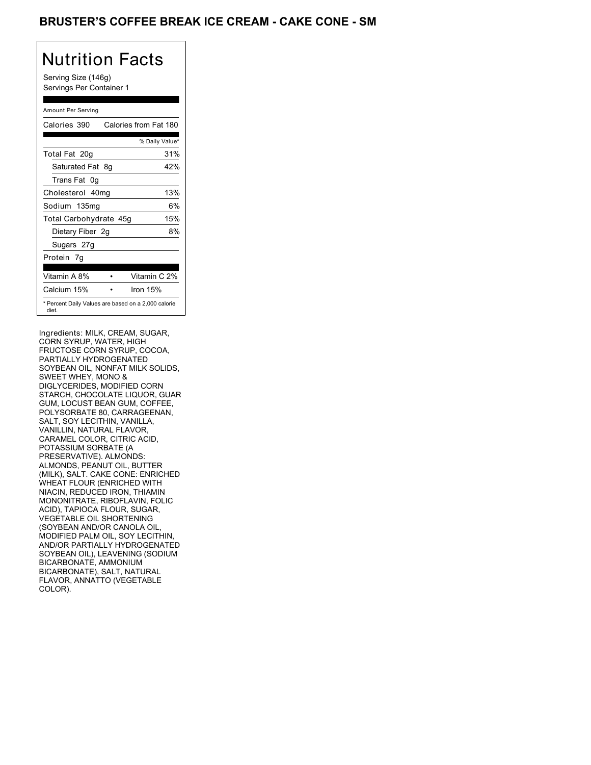## BRUSTER'S COFFEE BREAK ICE CREAM - CAKE CONE - SM

## Nutrition Facts

Serving Size (146g) Servings Per Container 1

#### Amount Per Serving

| Calories 390           | Calories from Fat 180                               |
|------------------------|-----------------------------------------------------|
|                        | % Daily Value*                                      |
| Total Fat 20g          | 31%                                                 |
| Saturated Fat 8q       | 42%                                                 |
| Trans Fat 0q           |                                                     |
| Cholesterol 40mg       | 13%                                                 |
| Sodium 135mg           | 6%                                                  |
| Total Carbohydrate 45g | 15%                                                 |
| Dietary Fiber 2g       | 8%                                                  |
| Sugars 27g             |                                                     |
| Protein 7q             |                                                     |
| Vitamin A 8%           | Vitamin C 2%                                        |
| Calcium 15%            | Iron $15%$                                          |
| diet.                  | * Percent Daily Values are based on a 2,000 calorie |

depending on your calorie needs:

Ingredients: MILK, CREAM, SUGAR, Saturated Fat Less than 20g 25g FRUCTOSE CORN SYRUP, COCOA,<br>———————————————————— Sodium Less than 2,400mg 2,400mg SOYBEAN OIL, NONFAT MILK SOLIDS, SWEET WHEY, MONO & GUM, LOCUST BEAN GUM, COFFEE, POLYSORBATE 80, CARRAGEENAN, SALT, SOY LECITHIN, VANILLA, VANILLIN, NATURAL FLAVOR, CARAMEL COLOR, CITRIC ACID, POTASSIUM SORBATE (A PRESERVATIVE). ALMONDS: ALMONDS, PEANUT OIL, BUTTER (MILK), SALT. CAKE CONE: ENRICHED WHEAT FLOUR (ENRICHED WITH NIACIN, REDUCED IRON, THIAMIN MONONITRATE, RIBOFLAVIN, FOLIC ACID), TAPIOCA FLOUR, SUGAR, VEGETABLE OIL SHORTENING (SOYBEAN AND/OR CANOLA OIL, MODIFIED PALM OIL, SOY LECITHIN, AND/OR PARTIALLY HYDROGENATED SOYBEAN OIL), LEAVENING (SODIUM BICARBONATE, AMMONIUM BICARBONATE), SALT, NATURAL FLAVOR, ANNATTO (VEGETABLE COLOR). SALT, NATURAL EXPLORENCE EN EL ENTRE EL ENTRE EL ENTRE EL ENTRE EL ENTRE EL ENTRE EL ENTRE EL ENTRE EL CORN SYRUP, WATER, HIGH PARTIALLY HYDROGENATED DIGLYCERIDES, MODIFIED CORN STARCH, CHOCOLATE LIQUOR, GUAR Celebrate Sunday<br>
Vertical Sunday, 1991<br>
Vertical Sunday, 1992<br>
Sunday, 1992<br>
Sunday, 1992<br>
Sunday, 1992<br>
Sunday, 1992<br>
Celebrate Sunday, 1992<br>
Celebrate Sunday, 1992<br>
Celebrate Sunday, 1992<br>
Celebrate Sunday, 1992<br>
Celeb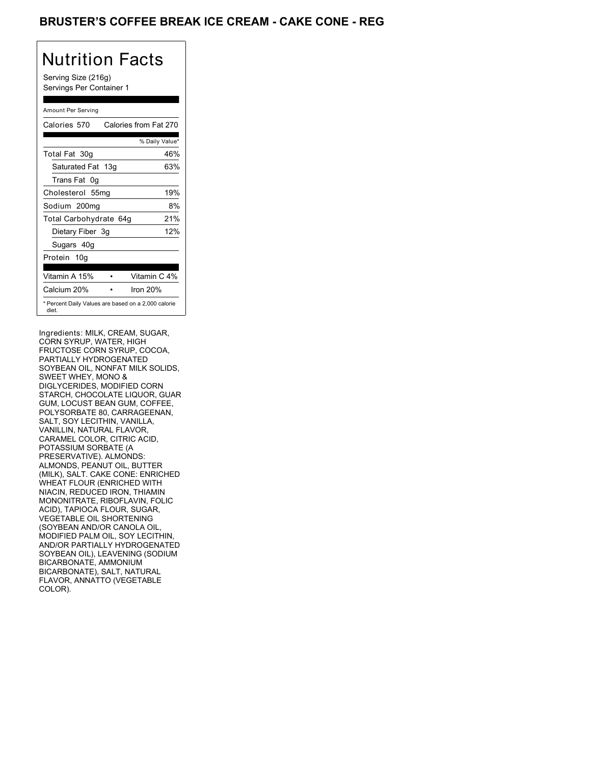## **BRUSTER'S COFFEE BREAK ICE CREAM - CAKE CONE - REG**

# Nutrition Facts

Serving Size (216g) Servings Per Container 1

#### Amount Per Serving

| Calories 570           | Calories from Fat 270                               |
|------------------------|-----------------------------------------------------|
|                        | % Daily Value*                                      |
| Total Fat 30g          | 46%                                                 |
| Saturated Fat 13g      | 63%                                                 |
| Trans Fat 0q           |                                                     |
| Cholesterol 55mg       | 19%                                                 |
| Sodium 200mg           | 8%                                                  |
| Total Carbohydrate 64g | 21%                                                 |
| Dietary Fiber 3g       | 12%                                                 |
| Sugars 40g             |                                                     |
| Protein 10g            |                                                     |
| Vitamin A 15%          | Vitamin C 4%                                        |
| Calcium 20%            | Iron $20%$                                          |
| diet.                  | * Percent Daily Values are based on a 2,000 calorie |

depending on your calorie needs:

Ingredients: MILK, CREAM, SUGAR, Saturated Fat Less than 20g 25g FRUCTOSE CORN SYRUP, COCOA,<br>———————————————————— Sodium Less than 2,400mg 2,400mg SOYBEAN OIL, NONFAT MILK SOLIDS, SWEET WHEY, MONO & GUM, LOCUST BEAN GUM, COFFEE, POLYSORBATE 80, CARRAGEENAN, SALT, SOY LECITHIN, VANILLA, VANILLIN, NATURAL FLAVOR, CARAMEL COLOR, CITRIC ACID, POTASSIUM SORBATE (A PRESERVATIVE). ALMONDS: ALMONDS, PEANUT OIL, BUTTER (MILK), SALT. CAKE CONE: ENRICHED WHEAT FLOUR (ENRICHED WITH NIACIN, REDUCED IRON, THIAMIN MONONITRATE, RIBOFLAVIN, FOLIC ACID), TAPIOCA FLOUR, SUGAR, VEGETABLE OIL SHORTENING (SOYBEAN AND/OR CANOLA OIL, MODIFIED PALM OIL, SOY LECITHIN, AND/OR PARTIALLY HYDROGENATED SOYBEAN OIL), LEAVENING (SODIUM BICARBONATE, AMMONIUM BICARBONATE), SALT, NATURAL FLAVOR, ANNATTO (VEGETABLE COLOR). SALT, NATURAL EXPLORENCE EN EL ENTRE EL ENTRE EL ENTRE EL ENTRE EL ENTRE EL ENTRE EL ENTRE EL ENTRE EL CORN SYRUP, WATER, HIGH PARTIALLY HYDROGENATED DIGLYCERIDES, MODIFIED CORN STARCH, CHOCOLATE LIQUOR, GUAR Celebrate Sunday<br>
Vertical Sunday, The Celebrate Sunday<br>
Sunday, Sunday, The Celebrate Sunday<br>
Sunday 2002<br>
Sunday 2002<br>
Sunday 29, 5702<br>
Celebrate Sunday<br>
Celebrate Sunday<br>
Celebrate Sunday<br>
Celebrate Sunday<br>
Celebrate S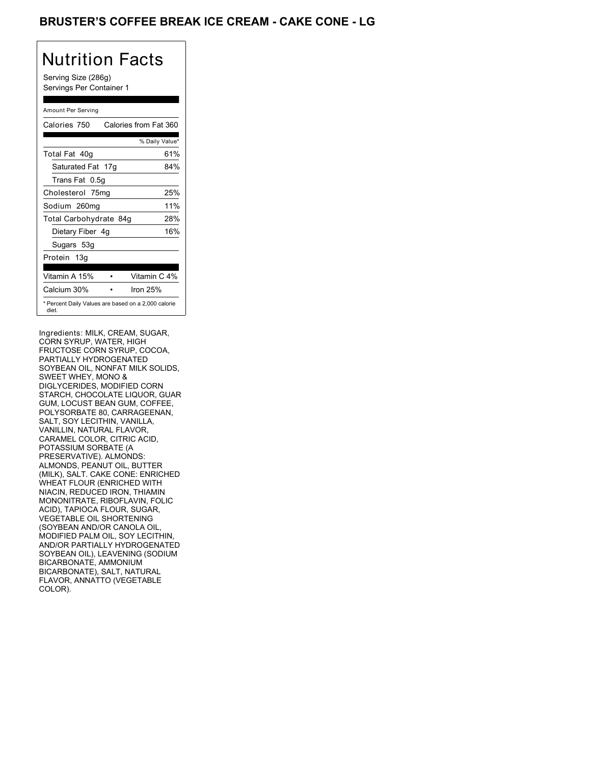## BRUSTER'S COFFEE BREAK ICE CREAM - CAKE CONE - LG

# Nutrition Facts

Serving Size (286g) Servings Per Container 1

#### Amount Per Serving

| Calories 750                                                 | Calories from Fat 360 |
|--------------------------------------------------------------|-----------------------|
|                                                              | % Daily Value*        |
| Total Fat 40g                                                | 61%                   |
| Saturated Fat 17g                                            | 84%                   |
| Trans Fat 0.5q                                               |                       |
| Cholesterol 75mg                                             | 25%                   |
| Sodium 260mg                                                 | 11%                   |
| Total Carbohydrate 84g                                       | 28%                   |
| Dietary Fiber 4g                                             | 16%                   |
| Sugars 53g                                                   |                       |
| Protein 13g                                                  |                       |
| Vitamin A 15%                                                | Vitamin C 4%          |
| Calcium 30%                                                  | Iron 25%              |
| * Percent Daily Values are based on a 2,000 calorie<br>diet. |                       |

Ingredients: MILK, CREAM, SUGAR, Saturated Fat Less than 20g 25g FRUCTOSE CORN SYRUP, COCOA,<br>———————————————————— Sodium Less than 2,400mg 2,400mg SOYBEAN OIL, NONFAT MILK SOLIDS, SWEET WHEY, MONO & GUM, LOCUST BEAN GUM, COFFEE, POLYSORBATE 80, CARRAGEENAN, SALT, SOY LECITHIN, VANILLA, VANILLIN, NATURAL FLAVOR, CARAMEL COLOR, CITRIC ACID, POTASSIUM SORBATE (A PRESERVATIVE). ALMONDS: ALMONDS, PEANUT OIL, BUTTER (MILK), SALT. CAKE CONE: ENRICHED WHEAT FLOUR (ENRICHED WITH NIACIN, REDUCED IRON, THIAMIN MONONITRATE, RIBOFLAVIN, FOLIC ACID), TAPIOCA FLOUR, SUGAR, VEGETABLE OIL SHORTENING (SOYBEAN AND/OR CANOLA OIL, MODIFIED PALM OIL, SOY LECITHIN, AND/OR PARTIALLY HYDROGENATED SOYBEAN OIL), LEAVENING (SODIUM BICARBONATE, AMMONIUM BICARBONATE), SALT, NATURAL FLAVOR, ANNATTO (VEGETABLE COLOR). SALT, NATURAL EXPLORENCE EN EL ENTRE EL ENTRE EL ENTRE EL ENTRE EL ENTRE EL ENTRE EL ENTRE EL ENTRE EL CORN SYRUP, WATER, HIGH PARTIALLY HYDROGENATED DIGLYCERIDES, MODIFIED CORN STARCH, CHOCOLATE LIQUOR, GUAR Columbia 1950<br>
Vertical Sunday, 1970<br>
Vertical Sunday, 1970<br>
Sunday, 1970<br>
Sunday, 1970<br>
Sunday, 1970<br>
Sunday, 1970<br>
Columbia 1970<br>
Columbia 1970<br>
Columbia 1970<br>
Columbia 1970<br>
Columbia 1970<br>
Columbia 1970<br>
Columbia 1970<br>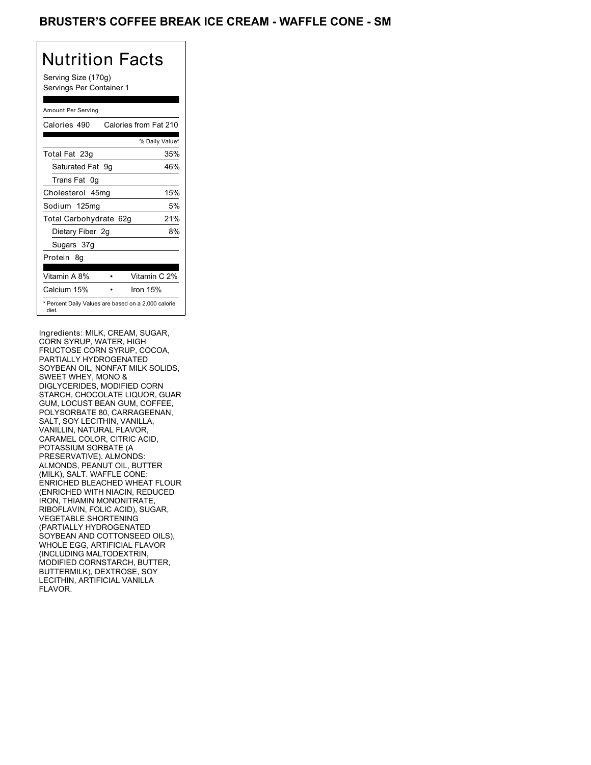## BRUSTER'S COFFEE BREAK ICE CREAM - WAFFLE CONE - SM

# Nutrition Facts

Serving Size (170g) Servings Per Container 1

#### Amount Per Serving

| Calories 490           | Calories from Fat 210                               |
|------------------------|-----------------------------------------------------|
|                        | % Daily Value*                                      |
| Total Fat 23g          | 35%                                                 |
| Saturated Fat 9g       | 46%                                                 |
| Trans Fat 0q           |                                                     |
| Cholesterol 45mg       | 15%                                                 |
| Sodium 125mg           | 5%                                                  |
| Total Carbohydrate 62g | 21%                                                 |
| Dietary Fiber 2g       | 8%                                                  |
| Sugars 37g             |                                                     |
| Protein 8q             |                                                     |
| Vitamin A 8%           | Vitamin C 2%                                        |
| Calcium 15%            | Iron 15%                                            |
| diet.                  | * Percent Daily Values are based on a 2,000 calorie |

depending on your calorie needs:

Ingredients: MILK, CREAM, SUGAR, Saturated Fat Less than 20g 25g FRUCTOSE CORN SYRUP, COCOA,<br>———————————————————— Sodium Less than 2,400mg 2,400mg SOYBEAN OIL, NONFAT MILK SOLIDS, SWEET WHEY, MONO & GUM, LOCUST BEAN GUM, COFFEE, POLYSORBATE 80, CARRAGEENAN, SALT, SOY LECITHIN, VANILLA, VANILLIN, NATURAL FLAVOR, CARAMEL COLOR, CITRIC ACID, POTASSIUM SORBATE (A PRESERVATIVE). ALMONDS: ALMONDS, PEANUT OIL, BUTTER (MILK), SALT. WAFFLE CONE: (MILK), SALT. WAFFLE CONE:<br>ENRICHED BLEACHED WHEAT FLOUR (ENRICHED WITH NIACIN, REDUCED IRON, THIAMIN MONONITRATE, RIBOFLAVIN, FOLIC ACID), SUGAR, VEGETABLE SHORTENING (PARTIALLY HYDROGENATED SOYBEAN AND COTTONSEED OILS), WHOLE EGG, ARTIFICIAL FLAVOR (INCLUDING MALTODEXTRIN, MODIFIED CORNSTARCH, BUTTER, BUTTERMILK), DEXTROSE, SOY LECITHIN, ARTIFICIAL VANILLA FLAVOR. CORN SYRUP, WATER, HIGH PARTIALLY HYDROGENATED DIGLYCERIDES, MODIFIED CORN STARCH, CHOCOLATE LIQUOR, GUAR Celebrate 20,  $\frac{3}{2}$  and  $\frac{3}{2}$  and  $\frac{3}{2}$  and  $\frac{3}{2}$  and  $\frac{3}{2}$  and  $\frac{3}{2}$  and  $\frac{3}{2}$  and  $\frac{3}{2}$  and  $\frac{3}{2}$  and  $\frac{3}{2}$  and  $\frac{3}{2}$  and  $\frac{3}{2}$  and  $\frac{3}{2}$  and  $\frac{3}{2}$  and  $\frac{3}{2}$  a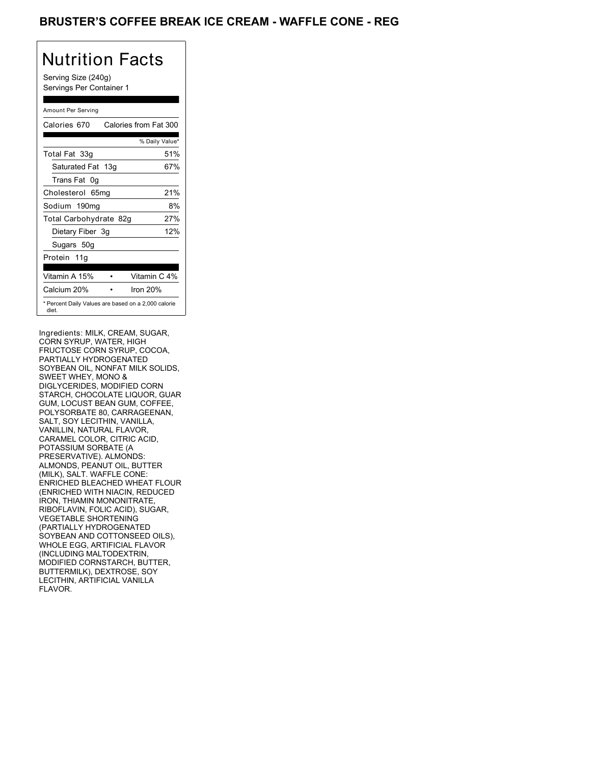## BRUSTER'S COFFEE BREAK ICE CREAM - WAFFLE CONE - REG

# Nutrition Facts

Serving Size (240g) Servings Per Container 1

#### Amount Per Serving

| Calories 670           | Calories from Fat 300                               |
|------------------------|-----------------------------------------------------|
|                        | % Daily Value*                                      |
| Total Fat 33g          | 51%                                                 |
| Saturated Fat 13g      | 67%                                                 |
| Trans Fat 0q           |                                                     |
| Cholesterol 65mg       | 21%                                                 |
| Sodium 190mg           | 8%                                                  |
| Total Carbohydrate 82g | 27%                                                 |
| Dietary Fiber 3g       | 12%                                                 |
| Sugars 50g             |                                                     |
| Protein 11g            |                                                     |
| Vitamin A 15%          | Vitamin C 4%                                        |
| Calcium 20%            | Iron $20%$                                          |
| diet.                  | * Percent Daily Values are based on a 2,000 calorie |

depending on your calorie needs:

Ingredients: MILK, CREAM, SUGAR, Saturated Fat Less than 20g 25g FRUCTOSE CORN SYRUP, COCOA,<br>———————————————————— Sodium Less than 2,400mg 2,400mg SOYBEAN OIL, NONFAT MILK SOLIDS, SWEET WHEY, MONO & GUM, LOCUST BEAN GUM, COFFEE, POLYSORBATE 80, CARRAGEENAN, SALT, SOY LECITHIN, VANILLA, VANILLIN, NATURAL FLAVOR, CARAMEL COLOR, CITRIC ACID, POTASSIUM SORBATE (A PRESERVATIVE). ALMONDS: ALMONDS, PEANUT OIL, BUTTER (MILK), SALT. WAFFLE CONE: (MILK), SALT. WAFFLE CONE:<br>ENRICHED BLEACHED WHEAT FLOUR (ENRICHED WITH NIACIN, REDUCED IRON, THIAMIN MONONITRATE, RIBOFLAVIN, FOLIC ACID), SUGAR, VEGETABLE SHORTENING (PARTIALLY HYDROGENATED SOYBEAN AND COTTONSEED OILS), WHOLE EGG, ARTIFICIAL FLAVOR (INCLUDING MALTODEXTRIN, MODIFIED CORNSTARCH, BUTTER, BUTTERMILK), DEXTROSE, SOY LECITHIN, ARTIFICIAL VANILLA FLAVOR. CORN SYRUP, WATER, HIGH PARTIALLY HYDROGENATED DIGLYCERIDES, MODIFIED CORN STARCH, CHOCOLATE LIQUOR, GUAR Celebrate The Celebrate Thursday, 1998<br>
Vertical Thursday, 1998<br>
Saturday, 1998<br>
Saturday, 1998<br>
Saturday, 1998<br>
Saturday, 1998<br>
Saturday, 1998<br>
Celebrate Thursday, 1998<br>
Celebrate Thursday, 1998<br>
Celebrate Thursday, 1998